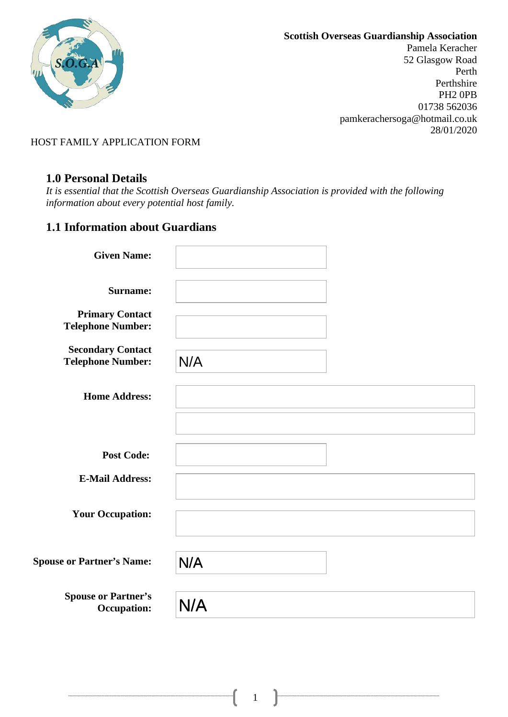

Pamela Keracher 52 Glasgow Road Perth Perthshire PH2 0PB 01738 562036 pamkerachersoga@hotmail.co.uk 28/01/2020

HOST FAMILY APPLICATION FORM

### **1.0 Personal Details**

*It is essential that the Scottish Overseas Guardianship Association is provided with the following information about every potential host family.* 

# **1.1 Information about Guardians**

| <b>Given Name:</b>                                   |     |
|------------------------------------------------------|-----|
| <b>Surname:</b>                                      |     |
| <b>Primary Contact</b><br><b>Telephone Number:</b>   |     |
| <b>Secondary Contact</b><br><b>Telephone Number:</b> | N/A |
| <b>Home Address:</b>                                 |     |
|                                                      |     |
| <b>Post Code:</b>                                    |     |
| <b>E-Mail Address:</b>                               |     |
| <b>Your Occupation:</b>                              |     |
| <b>Spouse or Partner's Name:</b>                     | N/A |
| <b>Spouse or Partner's</b><br><b>Occupation:</b>     | N/A |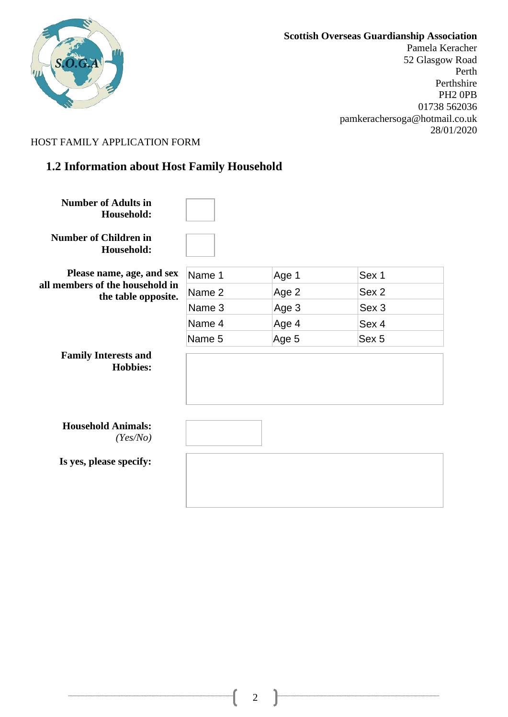

Pamela Keracher 52 Glasgow Road Perth Perthshire PH2 0PB 01738 562036 pamkerachersoga@hotmail.co.uk 28/01/2020

#### HOST FAMILY APPLICATION FORM

# **1.2 Information about Host Family Household**

**Number of Adults in Household:**

**Number of Children in Household:**

**Please name, age, and sex all members of the household in the table opposite.**

| Name 1 | Age 1 | Sex 1 |
|--------|-------|-------|
| Name 2 | Age 2 | Sex 2 |
| Name 3 | Age 3 | Sex 3 |
| Name 4 | Age 4 | Sex 4 |
| Name 5 | Age 5 | Sex 5 |

**Family Interests and Hobbies:** 

| <b>Household Animals:</b> |          |
|---------------------------|----------|
|                           | (Yes/No) |

**Is yes, please specify:**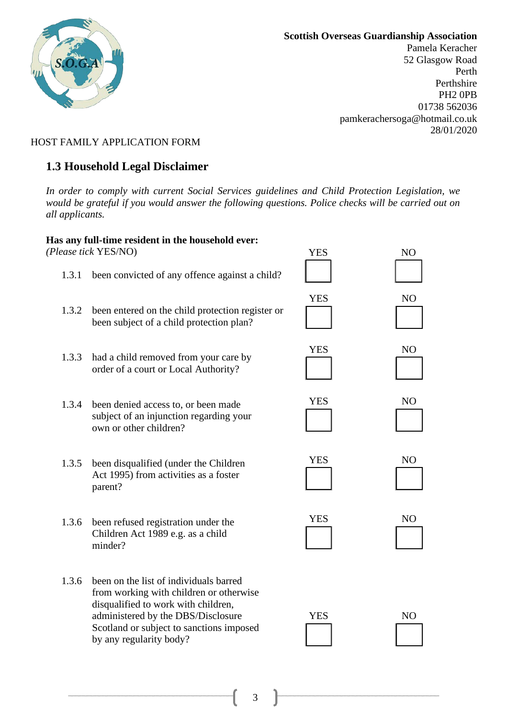

Pamela Keracher 52 Glasgow Road Perth Perthshire PH2 0PB 01738 562036 pamkerachersoga@hotmail.co.uk 28/01/2020

### HOST FAMILY APPLICATION FORM

## **1.3 Household Legal Disclaimer**

*In order to comply with current Social Services guidelines and Child Protection Legislation, we would be grateful if you would answer the following questions. Police checks will be carried out on all applicants.* 

#### **Has any full-time resident in the household ever:**

*(Please tick* YES/NO)

- 1.3.1 been convicted of any offence against a child?
- 1.3.2 been entered on the child protection register or been subject of a child protection plan?
- YES NO YES NO

YES NO

**YES** 

**YES** 

- 1.3.3 had a child removed from your care by order of a court or Local Authority?
- 1.3.4 been denied access to, or been made subject of an injunction regarding your own or other children?
- 1.3.5 been disqualified (under the Children Act 1995) from activities as a foster parent?
- 1.3.6 been refused registration under the Children Act 1989 e.g. as a child minder?
- 1.3.6 been on the list of individuals barred from working with children or otherwise disqualified to work with children, administered by the DBS/Disclosure Scotland or subject to sanctions imposed by any regularity body?

| N <sub>O</sub> |
|----------------|
|                |
|                |
|                |
| N <sub>O</sub> |
|                |
|                |



| ┻ | , |  |
|---|---|--|
|   |   |  |
|   |   |  |
|   |   |  |
|   |   |  |
|   |   |  |

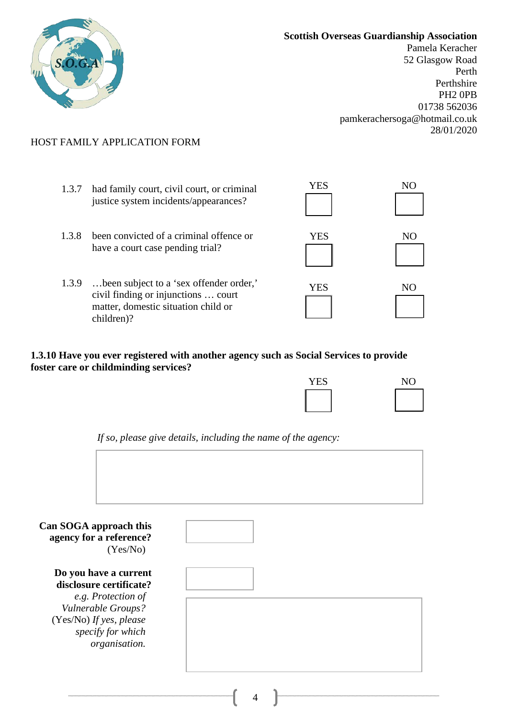

Pamela Keracher 52 Glasgow Road Perth Perthshire PH2 0PB 01738 562036 pamkerachersoga@hotmail.co.uk 28/01/2020

### HOST FAMILY APPLICATION FORM

- 1.3.7 had family court, civil court, or criminal justice system incidents/appearances?
- 1.3.8 been convicted of a criminal offence or have a court case pending trial?
- 1.3.9 …been subject to a 'sex offender order,' civil finding or injunctions … court matter, domestic situation child or children)?

| <b>YES</b> | N <sub>O</sub> |
|------------|----------------|
|            |                |
| <b>YES</b> | NO             |
| <b>YES</b> | NO             |

**1.3.10 Have you ever registered with another agency such as Social Services to provide foster care or childminding services?** 

| <b>YES</b> | N <sub>O</sub> |
|------------|----------------|
|            |                |

*If so, please give details, including the name of the agency:* 

| Can SOGA approach this<br>agency for a reference?<br>(Yes/No)       |  |
|---------------------------------------------------------------------|--|
| Do you have a current<br>disclosure certificate?                    |  |
| e.g. Protection of<br>Vulnerable Groups?<br>(Yes/No) If yes, please |  |
| specify for which<br>organisation.                                  |  |
|                                                                     |  |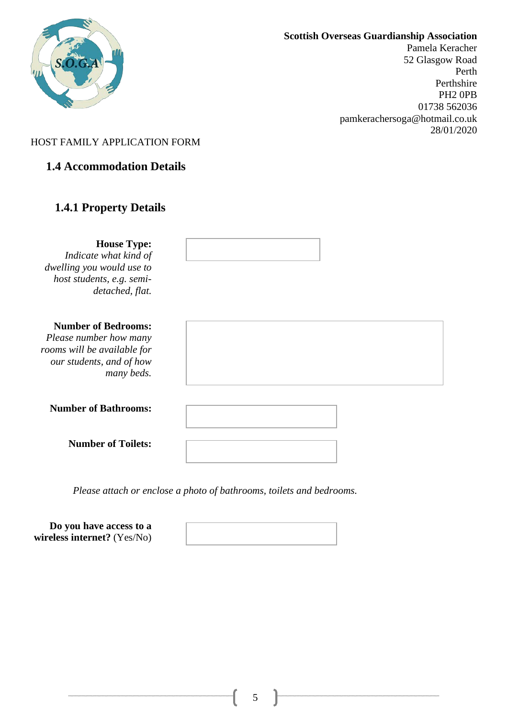

Pamela Keracher 52 Glasgow Road Perth Perthshire PH2 0PB 01738 562036 pamkerachersoga@hotmail.co.uk 28/01/2020

### HOST FAMILY APPLICATION FORM

## **1.4 Accommodation Details**

## **1.4.1 Property Details**

**House Type:**  *Indicate what kind of dwelling you would use to host students, e.g. semidetached, flat.* 

#### **Number of Bedrooms:**

*Please number how many rooms will be available for our students, and of how many beds.* 

|  | <b>Number of Bathrooms:</b> |
|--|-----------------------------|
|--|-----------------------------|

**Number of Toilets:**



**Do you have access to a wireless internet?** (Yes/No)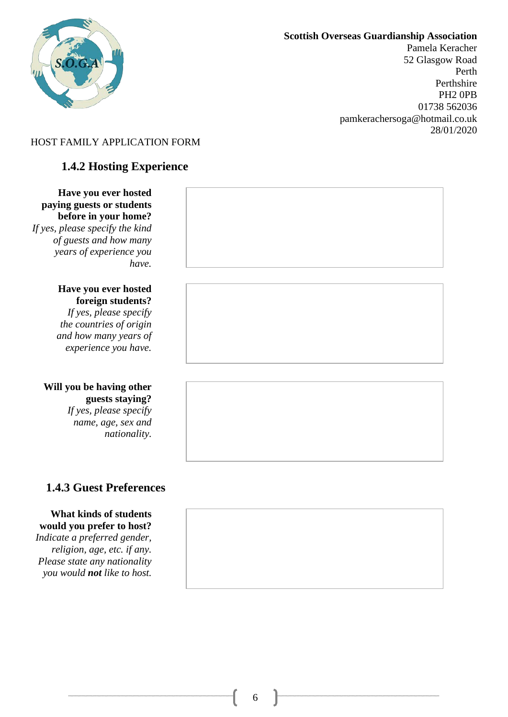

Pamela Keracher 52 Glasgow Road Perth Perthshire PH2 0PB 01738 562036 pamkerachersoga@hotmail.co.uk 28/01/2020

### HOST FAMILY APPLICATION FORM

# **1.4.2 Hosting Experience**

**Have you ever hosted paying guests or students before in your home?** *If yes, please specify the kind of guests and how many years of experience you have.*

#### **Have you ever hosted foreign students?**

*If yes, please specify the countries of origin and how many years of experience you have.*

#### **Will you be having other guests staying?**  *If yes, please specify*

*name, age, sex and nationality.*

# **1.4.3 Guest Preferences**

#### **What kinds of students would you prefer to host?**

*Indicate a preferred gender, religion, age, etc. if any. Please state any nationality you would not like to host.*



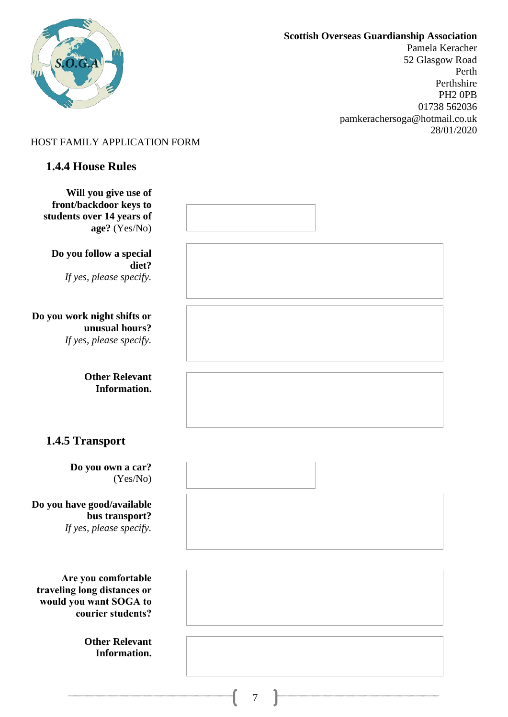

Pamela Keracher 52 Glasgow Road Perth Perthshire PH2 0PB 01738 562036 pamkerachersoga@hotmail.co.uk 28/01/2020

### HOST FAMILY APPLICATION FORM

# **1.4.4 House Rules**

| Will you give use of<br>front/backdoor keys to<br>students over 14 years of<br>age? (Yes/No)      |  |
|---------------------------------------------------------------------------------------------------|--|
| Do you follow a special<br>diet?<br>If yes, please specify.                                       |  |
| Do you work night shifts or<br>unusual hours?<br>If yes, please specify.                          |  |
| <b>Other Relevant</b><br>Information.                                                             |  |
| 1.4.5 Transport                                                                                   |  |
| Do you own a car?<br>(Yes/No)                                                                     |  |
| Do you have good/available<br>bus transport?<br>If yes, please specify.                           |  |
| Are you comfortable<br>traveling long distances or<br>would you want SOGA to<br>courier students? |  |
| <b>Other Relevant</b><br>Information.                                                             |  |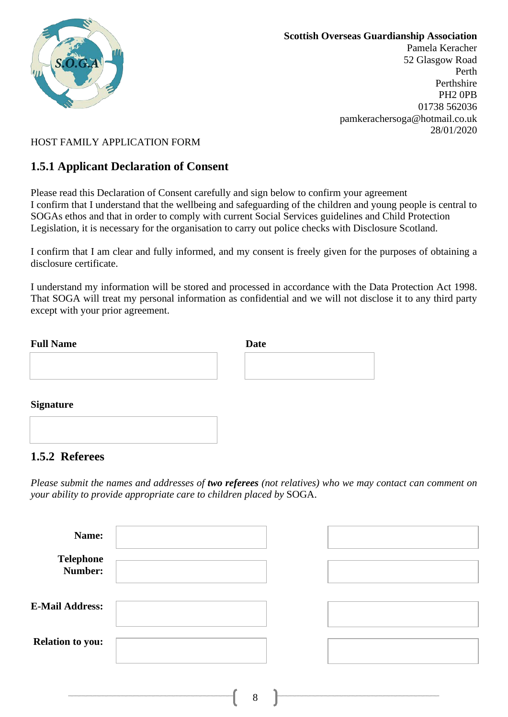

Pamela Keracher 52 Glasgow Road Perth Perthshire PH2 0PB 01738 562036 pamkerachersoga@hotmail.co.uk 28/01/2020

### HOST FAMILY APPLICATION FORM

## **1.5.1 Applicant Declaration of Consent**

Please read this Declaration of Consent carefully and sign below to confirm your agreement I confirm that I understand that the wellbeing and safeguarding of the children and young people is central to SOGAs ethos and that in order to comply with current Social Services guidelines and Child Protection Legislation, it is necessary for the organisation to carry out police checks with Disclosure Scotland.

I confirm that I am clear and fully informed, and my consent is freely given for the purposes of obtaining a disclosure certificate.

I understand my information will be stored and processed in accordance with the Data Protection Act 1998. That SOGA will treat my personal information as confidential and we will not disclose it to any third party except with your prior agreement.

| <b>Full Name</b> | <b>Date</b> |  |
|------------------|-------------|--|
|                  |             |  |
|                  |             |  |
|                  |             |  |
| <b>Signature</b> |             |  |

## **1.5.2 Referees**

*Please submit the names and addresses of two referees (not relatives) who we may contact can comment on your ability to provide appropriate care to children placed by* SOGA.

| Name:                       |   |  |
|-----------------------------|---|--|
| <b>Telephone</b><br>Number: |   |  |
| <b>E-Mail Address:</b>      |   |  |
| <b>Relation to you:</b>     |   |  |
|                             | 8 |  |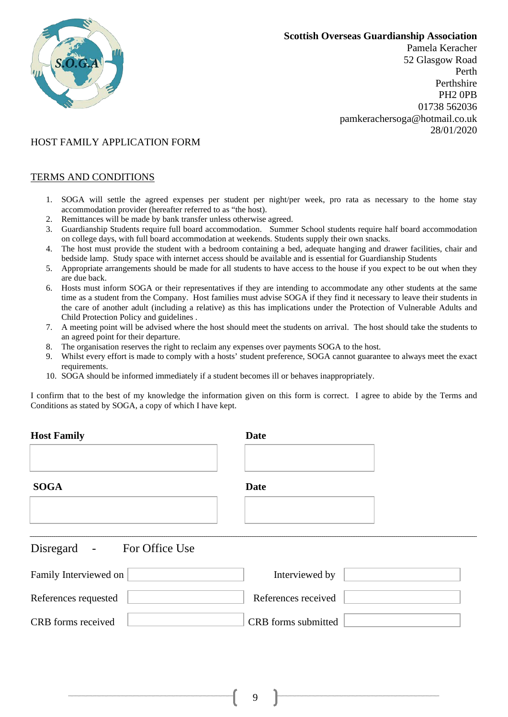

Pamela Keracher 52 Glasgow Road Perth Perthshire PH2 0PB 01738 562036 pamkerachersoga@hotmail.co.uk 28/01/2020

### HOST FAMILY APPLICATION FORM

#### TERMS AND CONDITIONS

- 1. SOGA will settle the agreed expenses per student per night/per week, pro rata as necessary to the home stay accommodation provider (hereafter referred to as "the host).
- 2. Remittances will be made by bank transfer unless otherwise agreed.
- 3. Guardianship Students require full board accommodation. Summer School students require half board accommodation on college days, with full board accommodation at weekends. Students supply their own snacks.
- 4. The host must provide the student with a bedroom containing a bed, adequate hanging and drawer facilities, chair and bedside lamp. Study space with internet access should be available and is essential for Guardianship Students
- 5. Appropriate arrangements should be made for all students to have access to the house if you expect to be out when they are due back.
- 6. Hosts must inform SOGA or their representatives if they are intending to accommodate any other students at the same time as a student from the Company. Host families must advise SOGA if they find it necessary to leave their students in the care of another adult (including a relative) as this has implications under the Protection of Vulnerable Adults and Child Protection Policy and guidelines .
- 7. A meeting point will be advised where the host should meet the students on arrival. The host should take the students to an agreed point for their departure.
- 8. The organisation reserves the right to reclaim any expenses over payments SOGA to the host.
- 9. Whilst every effort is made to comply with a hosts' student preference, SOGA cannot guarantee to always meet the exact requirements.
- 10. SOGA should be informed immediately if a student becomes ill or behaves inappropriately.

I confirm that to the best of my knowledge the information given on this form is correct. I agree to abide by the Terms and Conditions as stated by SOGA, a copy of which I have kept.

| <b>Host Family</b>                                               | <b>Date</b>         |
|------------------------------------------------------------------|---------------------|
| <b>SOGA</b>                                                      | <b>Date</b>         |
| Disregard<br>For Office Use<br>$\equiv$<br>Family Interviewed on | Interviewed by      |
| References requested                                             | References received |
| CRB forms received                                               | CRB forms submitted |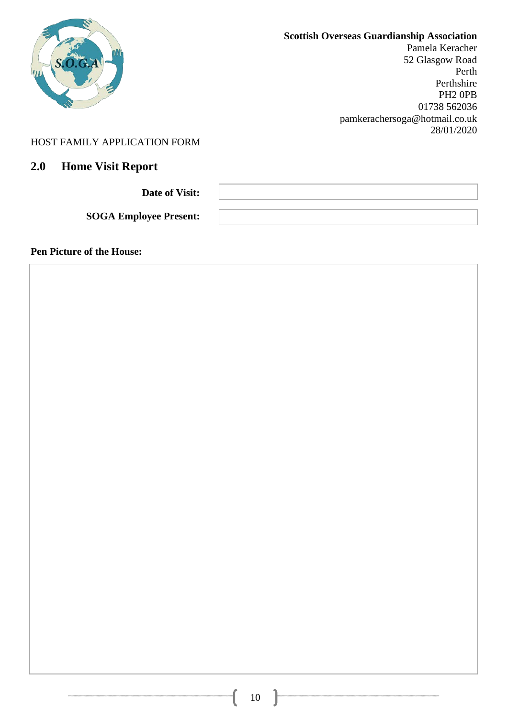|                                        | <b>Scottish Overseas Guardianship Association</b><br>Pamela Keracher<br>52 Glasgow Road<br>Perth<br>Perthshire<br>PH <sub>2</sub> OPB<br>01738 562036<br>pamkerachersoga@hotmail.co.uk |
|----------------------------------------|----------------------------------------------------------------------------------------------------------------------------------------------------------------------------------------|
| HOST FAMILY APPLICATION FORM           | 28/01/2020                                                                                                                                                                             |
| <b>Home Visit Report</b><br><b>2.0</b> |                                                                                                                                                                                        |

**Date of Visit:** 

**SOGA Employee Present:**

**Pen Picture of the House:**